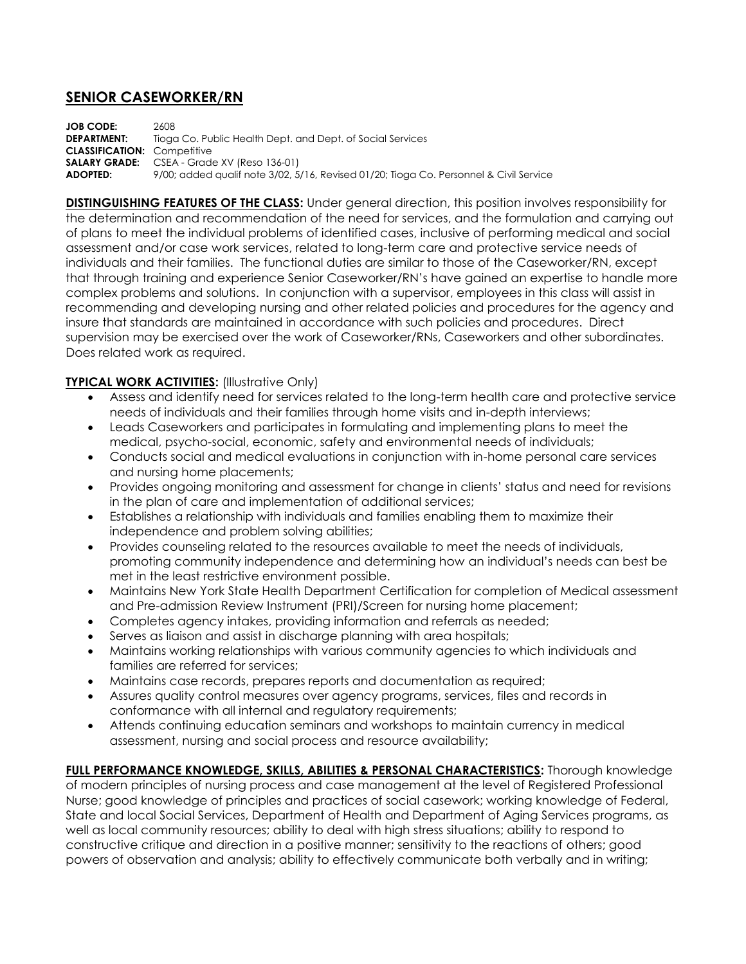## **SENIOR CASEWORKER/RN**

**JOB CODE:** 2608 **DEPARTMENT:** Tioga Co. Public Health Dept. and Dept. of Social Services **CLASSIFICATION:** Competitive **SALARY GRADE:** CSEA - Grade XV (Reso 136-01) **ADOPTED:** 9/00; added qualif note 3/02, 5/16, Revised 01/20; Tioga Co. Personnel & Civil Service

**DISTINGUISHING FEATURES OF THE CLASS:** Under general direction, this position involves responsibility for the determination and recommendation of the need for services, and the formulation and carrying out of plans to meet the individual problems of identified cases, inclusive of performing medical and social assessment and/or case work services, related to long-term care and protective service needs of individuals and their families. The functional duties are similar to those of the Caseworker/RN, except that through training and experience Senior Caseworker/RN's have gained an expertise to handle more complex problems and solutions. In conjunction with a supervisor, employees in this class will assist in recommending and developing nursing and other related policies and procedures for the agency and insure that standards are maintained in accordance with such policies and procedures. Direct supervision may be exercised over the work of Caseworker/RNs, Caseworkers and other subordinates. Does related work as required.

## **TYPICAL WORK ACTIVITIES:** (Illustrative Only)

- Assess and identify need for services related to the long-term health care and protective service needs of individuals and their families through home visits and in-depth interviews;
- Leads Caseworkers and participates in formulating and implementing plans to meet the medical, psycho-social, economic, safety and environmental needs of individuals;
- Conducts social and medical evaluations in conjunction with in-home personal care services and nursing home placements;
- Provides ongoing monitoring and assessment for change in clients' status and need for revisions in the plan of care and implementation of additional services;
- Establishes a relationship with individuals and families enabling them to maximize their independence and problem solving abilities;
- Provides counseling related to the resources available to meet the needs of individuals, promoting community independence and determining how an individual's needs can best be met in the least restrictive environment possible.
- Maintains New York State Health Department Certification for completion of Medical assessment and Pre-admission Review Instrument (PRI)/Screen for nursing home placement;
- Completes agency intakes, providing information and referrals as needed;
- Serves as liaison and assist in discharge planning with area hospitals;
- Maintains working relationships with various community agencies to which individuals and families are referred for services;
- Maintains case records, prepares reports and documentation as required;
- Assures quality control measures over agency programs, services, files and records in conformance with all internal and regulatory requirements;
- Attends continuing education seminars and workshops to maintain currency in medical assessment, nursing and social process and resource availability;

**FULL PERFORMANCE KNOWLEDGE, SKILLS, ABILITIES & PERSONAL CHARACTERISTICS:** Thorough knowledge of modern principles of nursing process and case management at the level of Registered Professional Nurse; good knowledge of principles and practices of social casework; working knowledge of Federal, State and local Social Services, Department of Health and Department of Aging Services programs, as well as local community resources; ability to deal with high stress situations; ability to respond to constructive critique and direction in a positive manner; sensitivity to the reactions of others; good powers of observation and analysis; ability to effectively communicate both verbally and in writing;